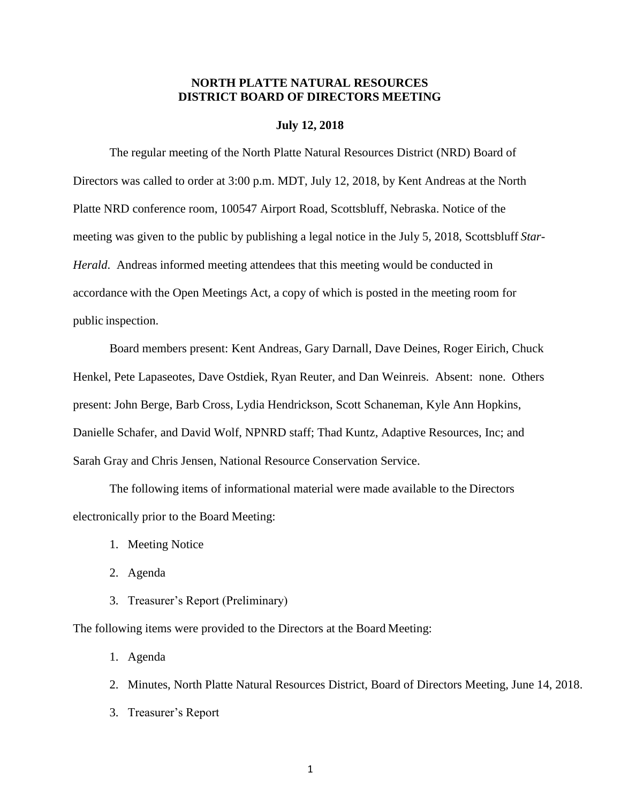# **NORTH PLATTE NATURAL RESOURCES DISTRICT BOARD OF DIRECTORS MEETING**

## **July 12, 2018**

The regular meeting of the North Platte Natural Resources District (NRD) Board of Directors was called to order at 3:00 p.m. MDT, July 12, 2018, by Kent Andreas at the North Platte NRD conference room, 100547 Airport Road, Scottsbluff, Nebraska. Notice of the meeting was given to the public by publishing a legal notice in the July 5, 2018, Scottsbluff *Star-Herald*. Andreas informed meeting attendees that this meeting would be conducted in accordance with the Open Meetings Act, a copy of which is posted in the meeting room for public inspection.

Board members present: Kent Andreas, Gary Darnall, Dave Deines, Roger Eirich, Chuck Henkel, Pete Lapaseotes, Dave Ostdiek, Ryan Reuter, and Dan Weinreis. Absent: none. Others present: John Berge, Barb Cross, Lydia Hendrickson, Scott Schaneman, Kyle Ann Hopkins, Danielle Schafer, and David Wolf, NPNRD staff; Thad Kuntz, Adaptive Resources, Inc; and Sarah Gray and Chris Jensen, National Resource Conservation Service.

The following items of informational material were made available to the Directors electronically prior to the Board Meeting:

- 1. Meeting Notice
- 2. Agenda
- 3. Treasurer's Report (Preliminary)

The following items were provided to the Directors at the Board Meeting:

- 1. Agenda
- 2. Minutes, North Platte Natural Resources District, Board of Directors Meeting, June 14, 2018.
- 3. Treasurer's Report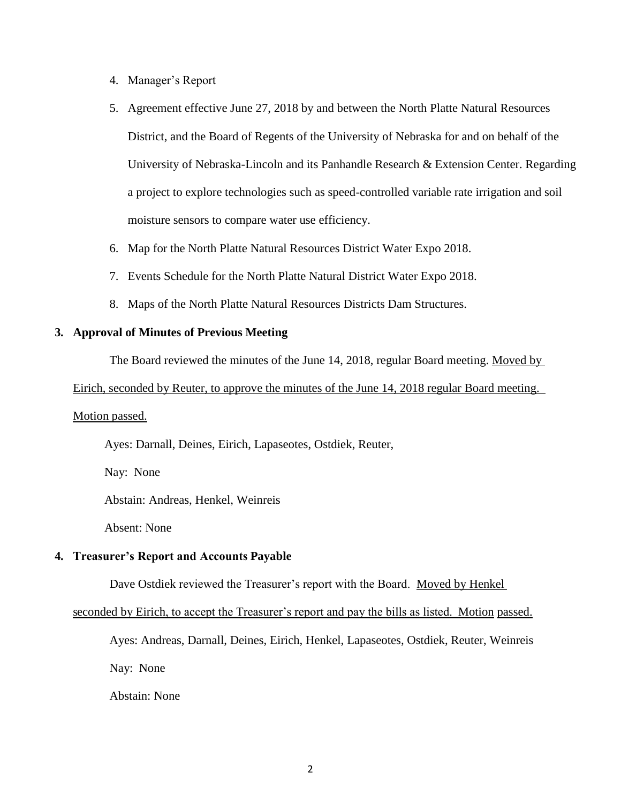- 4. Manager's Report
- 5. Agreement effective June 27, 2018 by and between the North Platte Natural Resources District, and the Board of Regents of the University of Nebraska for and on behalf of the University of Nebraska-Lincoln and its Panhandle Research & Extension Center. Regarding a project to explore technologies such as speed-controlled variable rate irrigation and soil moisture sensors to compare water use efficiency.
- 6. Map for the North Platte Natural Resources District Water Expo 2018.
- 7. Events Schedule for the North Platte Natural District Water Expo 2018.
- 8. Maps of the North Platte Natural Resources Districts Dam Structures.

# **3. Approval of Minutes of Previous Meeting**

The Board reviewed the minutes of the June 14, 2018, regular Board meeting. Moved by

#### Eirich, seconded by Reuter, to approve the minutes of the June 14, 2018 regular Board meeting.

# Motion passed.

Ayes: Darnall, Deines, Eirich, Lapaseotes, Ostdiek, Reuter,

Nay: None

Abstain: Andreas, Henkel, Weinreis

Absent: None

#### **4. Treasurer's Report and Accounts Payable**

Dave Ostdiek reviewed the Treasurer's report with the Board. Moved by Henkel

seconded by Eirich, to accept the Treasurer's report and pay the bills as listed. Motion passed.

Ayes: Andreas, Darnall, Deines, Eirich, Henkel, Lapaseotes, Ostdiek, Reuter, Weinreis

Nay: None

Abstain: None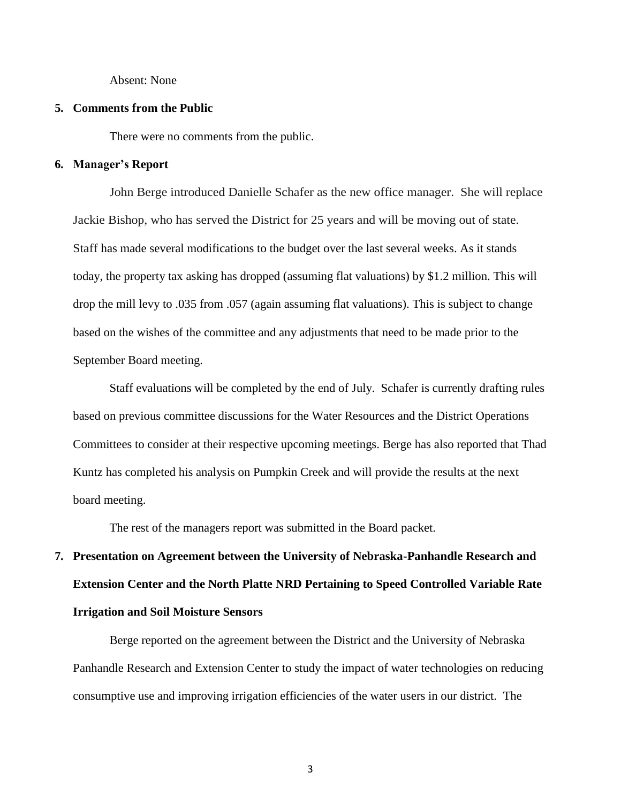Absent: None

#### **5. Comments from the Public**

There were no comments from the public.

## **6. Manager's Report**

John Berge introduced Danielle Schafer as the new office manager. She will replace Jackie Bishop, who has served the District for 25 years and will be moving out of state. Staff has made several modifications to the budget over the last several weeks. As it stands today, the property tax asking has dropped (assuming flat valuations) by \$1.2 million. This will drop the mill levy to .035 from .057 (again assuming flat valuations). This is subject to change based on the wishes of the committee and any adjustments that need to be made prior to the September Board meeting.

Staff evaluations will be completed by the end of July. Schafer is currently drafting rules based on previous committee discussions for the Water Resources and the District Operations Committees to consider at their respective upcoming meetings. Berge has also reported that Thad Kuntz has completed his analysis on Pumpkin Creek and will provide the results at the next board meeting.

The rest of the managers report was submitted in the Board packet.

# **7. Presentation on Agreement between the University of Nebraska-Panhandle Research and Extension Center and the North Platte NRD Pertaining to Speed Controlled Variable Rate Irrigation and Soil Moisture Sensors**

Berge reported on the agreement between the District and the University of Nebraska Panhandle Research and Extension Center to study the impact of water technologies on reducing consumptive use and improving irrigation efficiencies of the water users in our district. The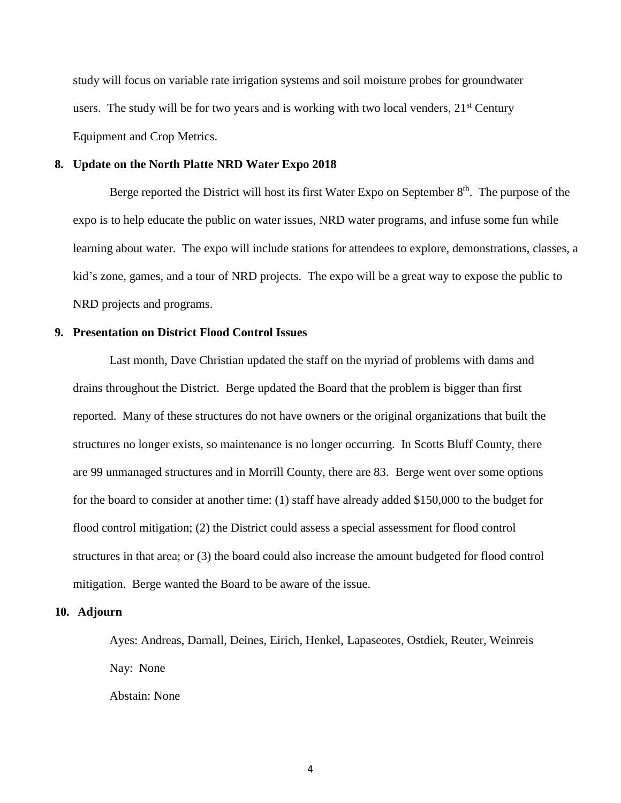study will focus on variable rate irrigation systems and soil moisture probes for groundwater users. The study will be for two years and is working with two local venders,  $21<sup>st</sup>$  Century Equipment and Crop Metrics.

### **8. Update on the North Platte NRD Water Expo 2018**

Berge reported the District will host its first Water Expo on September  $8<sup>th</sup>$ . The purpose of the expo is to help educate the public on water issues, NRD water programs, and infuse some fun while learning about water. The expo will include stations for attendees to explore, demonstrations, classes, a kid's zone, games, and a tour of NRD projects. The expo will be a great way to expose the public to NRD projects and programs.

## **9. Presentation on District Flood Control Issues**

Last month, Dave Christian updated the staff on the myriad of problems with dams and drains throughout the District. Berge updated the Board that the problem is bigger than first reported. Many of these structures do not have owners or the original organizations that built the structures no longer exists, so maintenance is no longer occurring. In Scotts Bluff County, there are 99 unmanaged structures and in Morrill County, there are 83. Berge went over some options for the board to consider at another time: (1) staff have already added \$150,000 to the budget for flood control mitigation; (2) the District could assess a special assessment for flood control structures in that area; or (3) the board could also increase the amount budgeted for flood control mitigation. Berge wanted the Board to be aware of the issue.

#### **10. Adjourn**

Ayes: Andreas, Darnall, Deines, Eirich, Henkel, Lapaseotes, Ostdiek, Reuter, Weinreis Nay: None

Abstain: None